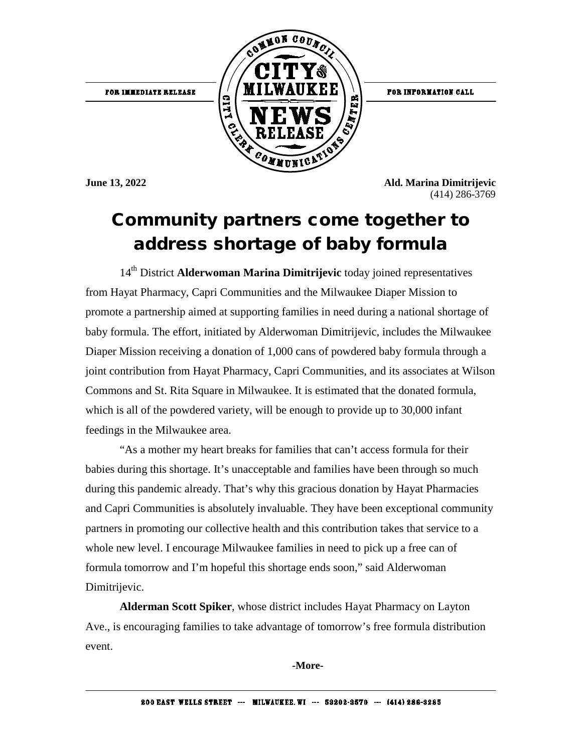

FOR INFORMATION CALL

**June 13, 2022 Ald. Marina Dimitrijevic** (414) 286-3769

## Community partners come together to address shortage of baby formula

14th District **Alderwoman Marina Dimitrijevic** today joined representatives from Hayat Pharmacy, Capri Communities and the Milwaukee Diaper Mission to promote a partnership aimed at supporting families in need during a national shortage of baby formula. The effort, initiated by Alderwoman Dimitrijevic, includes the Milwaukee Diaper Mission receiving a donation of 1,000 cans of powdered baby formula through a joint contribution from Hayat Pharmacy, Capri Communities, and its associates at Wilson Commons and St. Rita Square in Milwaukee. It is estimated that the donated formula, which is all of the powdered variety, will be enough to provide up to 30,000 infant feedings in the Milwaukee area.

"As a mother my heart breaks for families that can't access formula for their babies during this shortage. It's unacceptable and families have been through so much during this pandemic already. That's why this gracious donation by Hayat Pharmacies and Capri Communities is absolutely invaluable. They have been exceptional community partners in promoting our collective health and this contribution takes that service to a whole new level. I encourage Milwaukee families in need to pick up a free can of formula tomorrow and I'm hopeful this shortage ends soon," said Alderwoman Dimitrijevic.

**Alderman Scott Spiker**, whose district includes Hayat Pharmacy on Layton Ave., is encouraging families to take advantage of tomorrow's free formula distribution event.

**-More-**